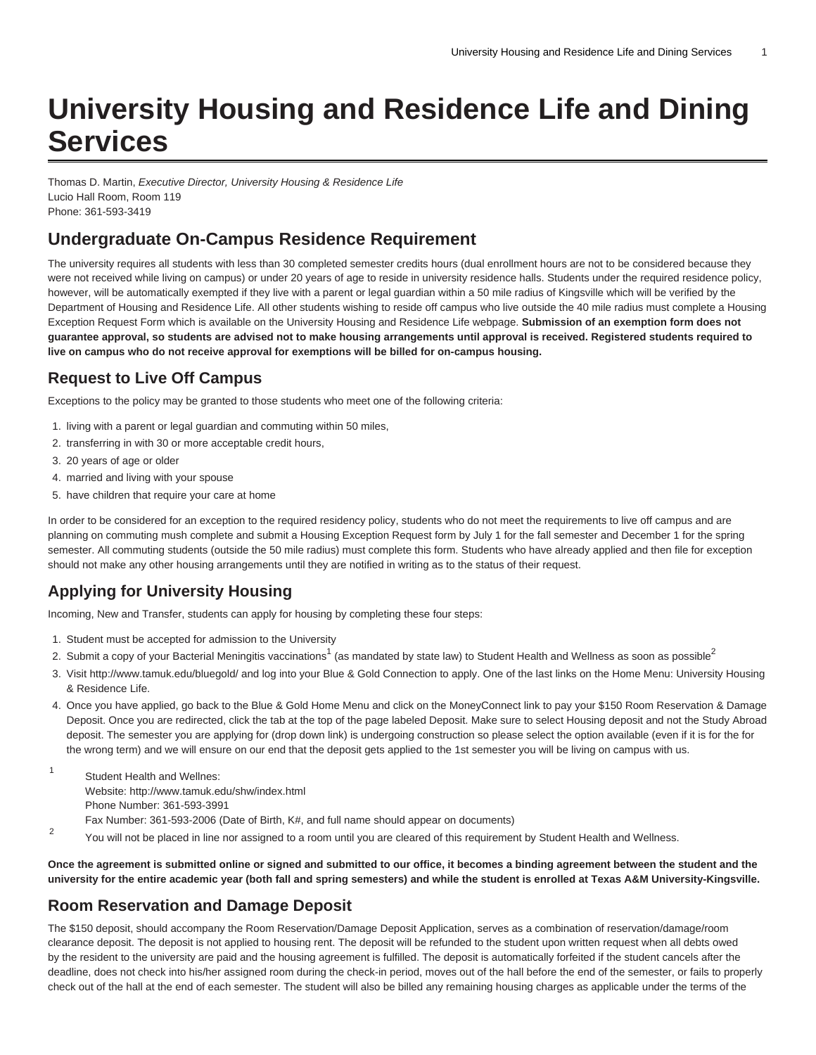# **University Housing and Residence Life and Dining Services**

Thomas D. Martin, Executive Director, University Housing & Residence Life Lucio Hall Room, Room 119 Phone: 361-593-3419

#### **Undergraduate On-Campus Residence Requirement**

The university requires all students with less than 30 completed semester credits hours (dual enrollment hours are not to be considered because they were not received while living on campus) or under 20 years of age to reside in university residence halls. Students under the required residence policy, however, will be automatically exempted if they live with a parent or legal guardian within a 50 mile radius of Kingsville which will be verified by the Department of Housing and Residence Life. All other students wishing to reside off campus who live outside the 40 mile radius must complete a Housing Exception Request Form which is available on the [University Housing and Residence Life](http://www.tamuk.edu/housing/) webpage. **Submission of an exemption form does not guarantee approval, so students are advised not to make housing arrangements until approval is received. Registered students required to live on campus who do not receive approval for exemptions will be billed for on-campus housing.** 

# **Request to Live Off Campus**

Exceptions to the policy may be granted to those students who meet one of the following criteria:

- 1. living with a parent or legal guardian and commuting within 50 miles,
- 2. transferring in with 30 or more acceptable credit hours,
- 3. 20 years of age or older
- 4. married and living with your spouse
- 5. have children that require your care at home

In order to be considered for an exception to the required residency policy, students who do not meet the requirements to live off campus and are planning on commuting mush complete and submit a Housing Exception Request form by July 1 for the fall semester and December 1 for the spring semester. All commuting students (outside the 50 mile radius) must complete this form. Students who have already applied and then file for exception should not make any other housing arrangements until they are notified in writing as to the status of their request.

# **Applying for University Housing**

Incoming, New and Transfer, students can apply for housing by completing these four steps:

- 1. Student must be accepted for admission to the University
- 2. Submit a copy of your Bacterial Meningitis vaccinations<sup>1</sup> (as mandated by state law) to Student Health and Wellness as soon as possible<sup>2</sup>
- 3. Visit<http://www.tamuk.edu/bluegold/>and log into your Blue & Gold Connection to apply. One of the last links on the Home Menu: University Housing & Residence Life.
- 4. Once you have applied, go back to the Blue & Gold Home Menu and click on the MoneyConnect link to pay your \$150 Room Reservation & Damage Deposit. Once you are redirected, click the tab at the top of the page labeled Deposit. Make sure to select Housing deposit and not the Study Abroad deposit. The semester you are applying for (drop down link) is undergoing construction so please select the option available (even if it is for the for the wrong term) and we will ensure on our end that the deposit gets applied to the 1st semester you will be living on campus with us.
- 1 Student Health and Wellnes: Website: [http://www.tamuk.edu/shw/index.html](http://www.tamuk.edu/shw/) Phone Number: 361-593-3991 Fax Number: 361-593-2006 (Date of Birth, K#, and full name should appear on documents)
- 2 You will not be placed in line nor assigned to a room until you are cleared of this requirement by Student Health and Wellness.

**Once the agreement is submitted online or signed and submitted to our office, it becomes a binding agreement between the student and the university for the entire academic year (both fall and spring semesters) and while the student is enrolled at Texas A&M University-Kingsville.**

#### **Room Reservation and Damage Deposit**

The \$150 deposit, should accompany the Room Reservation/Damage Deposit Application, serves as a combination of reservation/damage/room clearance deposit. The deposit is not applied to housing rent. The deposit will be refunded to the student upon written request when all debts owed by the resident to the university are paid and the housing agreement is fulfilled. The deposit is automatically forfeited if the student cancels after the deadline, does not check into his/her assigned room during the check-in period, moves out of the hall before the end of the semester, or fails to properly check out of the hall at the end of each semester. The student will also be billed any remaining housing charges as applicable under the terms of the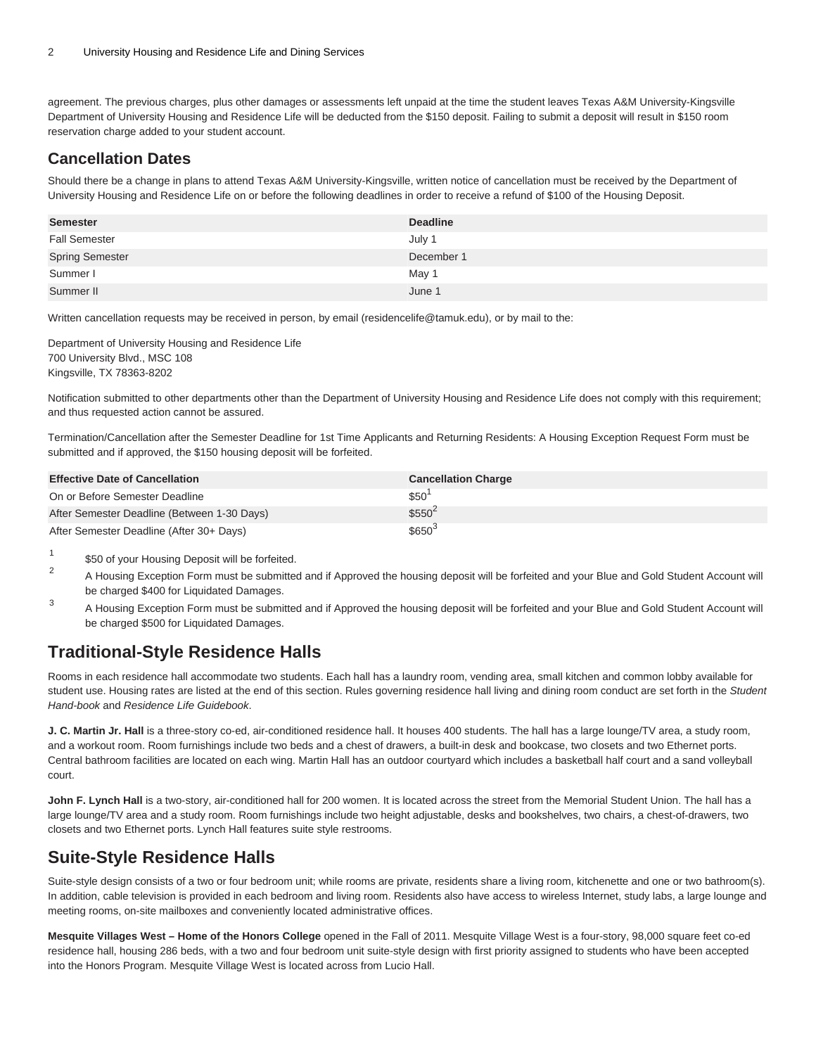agreement. The previous charges, plus other damages or assessments left unpaid at the time the student leaves Texas A&M University-Kingsville Department of University Housing and Residence Life will be deducted from the \$150 deposit. Failing to submit a deposit will result in \$150 room reservation charge added to your student account.

#### **Cancellation Dates**

Should there be a change in plans to attend Texas A&M University-Kingsville, written notice of cancellation must be received by the Department of University Housing and Residence Life on or before the following deadlines in order to receive a refund of \$100 of the Housing Deposit.

| <b>Semester</b>        | <b>Deadline</b> |
|------------------------|-----------------|
| <b>Fall Semester</b>   | July 1          |
| <b>Spring Semester</b> | December 1      |
| Summer I               | May 1           |
| Summer II              | June 1          |

Written cancellation requests may be received in person, by email ([residencelife@tamuk.edu](mailto:residencelife@tamuk.edu)), or by mail to the:

Department of University Housing and Residence Life 700 University Blvd., MSC 108 Kingsville, TX 78363-8202

Notification submitted to other departments other than the Department of University Housing and Residence Life does not comply with this requirement; and thus requested action cannot be assured.

Termination/Cancellation after the Semester Deadline for 1st Time Applicants and Returning Residents: A Housing Exception Request Form must be submitted and if approved, the \$150 housing deposit will be forfeited.

| <b>Effective Date of Cancellation</b>       | <b>Cancellation Charge</b> |
|---------------------------------------------|----------------------------|
| On or Before Semester Deadline              | \$50                       |
| After Semester Deadline (Between 1-30 Days) | $$550^2$                   |
| After Semester Deadline (After 30+ Days)    | $$650^3$                   |

1 \$50 of your Housing Deposit will be forfeited.

- $\overline{2}$ A Housing Exception Form must be submitted and if Approved the housing deposit will be forfeited and your Blue and Gold Student Account will be charged \$400 for Liquidated Damages.
- 3 A Housing Exception Form must be submitted and if Approved the housing deposit will be forfeited and your Blue and Gold Student Account will be charged \$500 for Liquidated Damages.

# **Traditional-Style Residence Halls**

Rooms in each residence hall accommodate two students. Each hall has a laundry room, vending area, small kitchen and common lobby available for student use. Housing rates are listed at the end of this section. Rules governing residence hall living and dining room conduct are set forth in the Student Hand-book and Residence Life Guidebook.

**J. C. Martin Jr. Hall** is a three-story co-ed, air-conditioned residence hall. It houses 400 students. The hall has a large lounge/TV area, a study room, and a workout room. Room furnishings include two beds and a chest of drawers, a built-in desk and bookcase, two closets and two Ethernet ports. Central bathroom facilities are located on each wing. Martin Hall has an outdoor courtyard which includes a basketball half court and a sand volleyball court.

**John F. Lynch Hall** is a two-story, air-conditioned hall for 200 women. It is located across the street from the Memorial Student Union. The hall has a large lounge/TV area and a study room. Room furnishings include two height adjustable, desks and bookshelves, two chairs, a chest-of-drawers, two closets and two Ethernet ports. Lynch Hall features suite style restrooms.

# **Suite-Style Residence Halls**

Suite-style design consists of a two or four bedroom unit; while rooms are private, residents share a living room, kitchenette and one or two bathroom(s). In addition, cable television is provided in each bedroom and living room. Residents also have access to wireless Internet, study labs, a large lounge and meeting rooms, on-site mailboxes and conveniently located administrative offices.

**Mesquite Villages West – Home of the Honors College** opened in the Fall of 2011. Mesquite Village West is a four-story, 98,000 square feet co-ed residence hall, housing 286 beds, with a two and four bedroom unit suite-style design with first priority assigned to students who have been accepted into the Honors Program. Mesquite Village West is located across from Lucio Hall.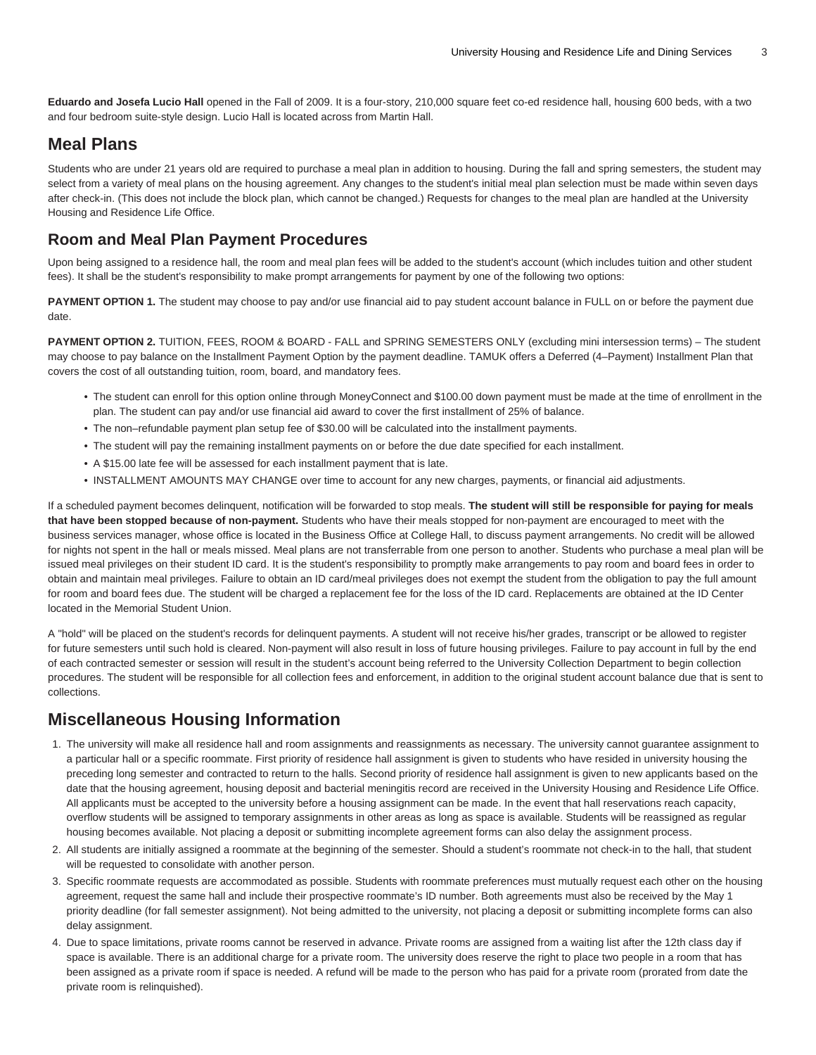Eduardo and Josefa Lucio Hall opened in the Fall of 2009. It is a four-story, 210,000 square feet co-ed residence hall, housing 600 beds, with a two and four bedroom suite-style design. Lucio Hall is located across from Martin Hall.

#### **Meal Plans**

Students who are under 21 years old are required to purchase a meal plan in addition to housing. During the fall and spring semesters, the student may select from a variety of meal plans on the housing agreement. Any changes to the student's initial meal plan selection must be made within seven days after check-in. (This does not include the block plan, which cannot be changed.) Requests for changes to the meal plan are handled at the University Housing and Residence Life Office.

#### **Room and Meal Plan Payment Procedures**

Upon being assigned to a residence hall, the room and meal plan fees will be added to the student's account (which includes tuition and other student fees). It shall be the student's responsibility to make prompt arrangements for payment by one of the following two options:

PAYMENT OPTION 1. The student may choose to pay and/or use financial aid to pay student account balance in FULL on or before the payment due date.

**PAYMENT OPTION 2.** TUITION, FEES, ROOM & BOARD - FALL and SPRING SEMESTERS ONLY (excluding mini intersession terms) – The student may choose to pay balance on the Installment Payment Option by the payment deadline. TAMUK offers a Deferred (4–Payment) Installment Plan that covers the cost of all outstanding tuition, room, board, and mandatory fees.

- The student can enroll for this option online through [MoneyConnect](https://moneyconnect.tamuk.edu/C20209_tsa/web/login.jsp) and \$100.00 down payment must be made at the time of enrollment in the plan. The student can pay and/or use financial aid award to cover the first installment of 25% of balance.
- The non–refundable payment plan setup fee of \$30.00 will be calculated into the installment payments.
- The student will pay the remaining installment payments on or before the due date specified for each installment.
- A \$15.00 late fee will be assessed for each installment payment that is late.
- INSTALLMENT AMOUNTS MAY CHANGE over time to account for any new charges, payments, or financial aid adjustments.

If a scheduled payment becomes delinquent, notification will be forwarded to stop meals. **The student will still be responsible for paying for meals that have been stopped because of non-payment.** Students who have their meals stopped for non-payment are encouraged to meet with the business services manager, whose office is located in the Business Office at College Hall, to discuss payment arrangements. No credit will be allowed for nights not spent in the hall or meals missed. Meal plans are not transferrable from one person to another. Students who purchase a meal plan will be issued meal privileges on their student ID card. It is the student's responsibility to promptly make arrangements to pay room and board fees in order to obtain and maintain meal privileges. Failure to obtain an ID card/meal privileges does not exempt the student from the obligation to pay the full amount for room and board fees due. The student will be charged a replacement fee for the loss of the ID card. Replacements are obtained at the ID Center located in the Memorial Student Union.

A "hold" will be placed on the student's records for delinquent payments. A student will not receive his/her grades, transcript or be allowed to register for future semesters until such hold is cleared. Non-payment will also result in loss of future housing privileges. Failure to pay account in full by the end of each contracted semester or session will result in the student's account being referred to the University Collection Department to begin collection procedures. The student will be responsible for all collection fees and enforcement, in addition to the original student account balance due that is sent to collections.

# **Miscellaneous Housing Information**

- 1. The university will make all residence hall and room assignments and reassignments as necessary. The university cannot guarantee assignment to a particular hall or a specific roommate. First priority of residence hall assignment is given to students who have resided in university housing the preceding long semester and contracted to return to the halls. Second priority of residence hall assignment is given to new applicants based on the date that the housing agreement, housing deposit and bacterial meningitis record are received in the University Housing and Residence Life Office. All applicants must be accepted to the university before a housing assignment can be made. In the event that hall reservations reach capacity, overflow students will be assigned to temporary assignments in other areas as long as space is available. Students will be reassigned as regular housing becomes available. Not placing a deposit or submitting incomplete agreement forms can also delay the assignment process.
- 2. All students are initially assigned a roommate at the beginning of the semester. Should a student's roommate not check-in to the hall, that student will be requested to consolidate with another person.
- 3. Specific roommate requests are accommodated as possible. Students with roommate preferences must mutually request each other on the housing agreement, request the same hall and include their prospective roommate's ID number. Both agreements must also be received by the May 1 priority deadline (for fall semester assignment). Not being admitted to the university, not placing a deposit or submitting incomplete forms can also delay assignment.
- 4. Due to space limitations, private rooms cannot be reserved in advance. Private rooms are assigned from a waiting list after the 12th class day if space is available. There is an additional charge for a private room. The university does reserve the right to place two people in a room that has been assigned as a private room if space is needed. A refund will be made to the person who has paid for a private room (prorated from date the private room is relinquished).